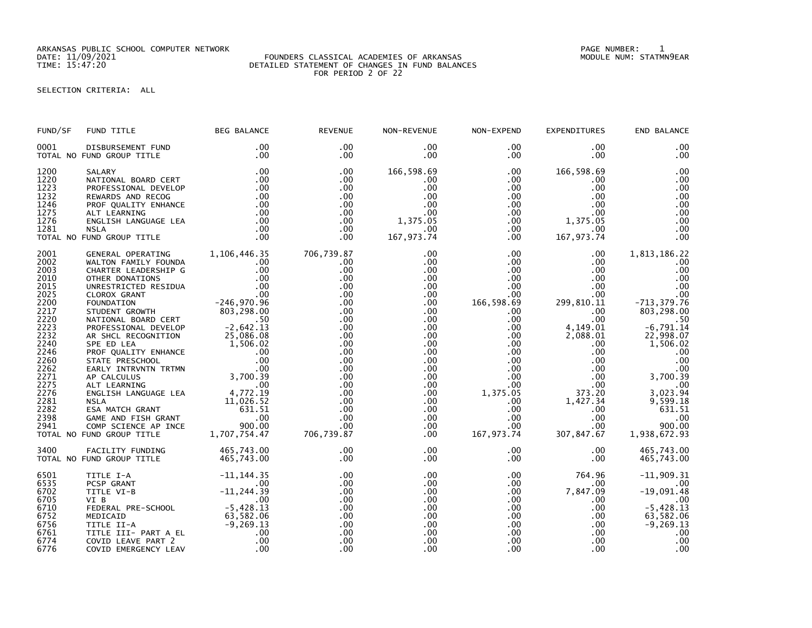ARKANSAS PUBLIC SCHOOL COMPUTER NETWORK PAGE NUMBER: 1

## DATE: 11/09/2021 FOUNDERS CLASSICAL ACADEMIES OF ARKANSAS MODULE NUM: STATMN9EAR TIME: 15:47:20 DETAILED STATEMENT OF CHANGES IN FUND BALANCES FOR PERIOD 2 OF 22

## SELECTION CRITERIA: ALL

| FUND/SF              | FUND TITLE                                                                                                                                                                                                                                                                                                                                                                                                                                                                                     | <b>BEG BALANCE</b>                         | <b>REVENUE</b>    | NON-REVENUE                   | NON-EXPEND                       | EXPENDITURES                  | END BALANCE                  |
|----------------------|------------------------------------------------------------------------------------------------------------------------------------------------------------------------------------------------------------------------------------------------------------------------------------------------------------------------------------------------------------------------------------------------------------------------------------------------------------------------------------------------|--------------------------------------------|-------------------|-------------------------------|----------------------------------|-------------------------------|------------------------------|
| 0001                 | DISBURSEMENT FUND<br>TOTAL NO FUND GROUP TITLE                                                                                                                                                                                                                                                                                                                                                                                                                                                 | .00<br>.00                                 | .00<br>.00        | $.00 \,$<br>.00               | $.00 \,$<br>.00                  | $.00 \,$<br>$.00 \,$          | .00<br>.00                   |
| 1200<br>1220<br>1223 | $\begin{tabular}{llllll} \multicolumn{4}{c}{\textbf{SALARY}} & .00 \\ \multicolumn{4}{c}{\textbf{NATIONAL BOARD CERT}} & .00 \\ \multicolumn{4}{c}{\textbf{PROFESSIONAL DEVELOP}} & .00 \\ \multicolumn{4}{c}{\textbf{REWARDS AND RECOG}} & .00 \\ \multicolumn{4}{c}{\textbf{REWARDS AND RECOG}} & .00 \\ \multicolumn{4}{c}{\textbf{PROF QUALITY ENHANCE}} & .00 \\ \multicolumn{4}{c}{\textbf{ALT LEARNING}} & .00 \\ \multicolumn{4}{c}{\textbf{ACT LEARNING}} & .00 \\ \multicolumn{4}{c$ |                                            | .00<br>.00<br>.00 | 166,598.69<br>$.00 \,$<br>.00 | $.00 \,$<br>$.00 \,$<br>$.00 \,$ | 166,598.69<br>$.00 \,$<br>.00 | .00<br>.00<br>.00            |
| 1232<br>1246         |                                                                                                                                                                                                                                                                                                                                                                                                                                                                                                |                                            | .00<br>.00        | $.00 \,$<br>.00               | $.00\,$<br>.00                   | $.00 \times$<br>$.00 \cdot$   | .00<br>.00                   |
| 1275<br>1276         |                                                                                                                                                                                                                                                                                                                                                                                                                                                                                                |                                            | .00<br>.00        | .00<br>1,375.05               | $.00\,$<br>$.00 \,$              | $.00 \,$<br>1,375.05          | .00<br>.00                   |
| 1281                 | TOTAL NO FUND GROUP TITLE                                                                                                                                                                                                                                                                                                                                                                                                                                                                      |                                            | .00<br>.00.       | $.00 \,$<br>167, 973.74       | $.00 \,$<br>$.00 \,$             | $.00 \,$<br>167,973.74        | .00<br>.00                   |
| 2001                 | GENERAL OPERATING 1,106,446.35                                                                                                                                                                                                                                                                                                                                                                                                                                                                 |                                            | 706,739.87        | .00                           | $.00 \,$                         | $.00 \,$                      | 1,813,186.22                 |
| 2002<br>2003         |                                                                                                                                                                                                                                                                                                                                                                                                                                                                                                |                                            | .00.<br>.00       | .00<br>.00                    | $.00\,$<br>$.00\,$               | $.00 \,$<br>$.00 \,$          | .00<br>.00                   |
| 2010                 |                                                                                                                                                                                                                                                                                                                                                                                                                                                                                                |                                            | .00               | .00                           | $.00\,$                          | $.00 \,$                      | .00                          |
| 2015                 |                                                                                                                                                                                                                                                                                                                                                                                                                                                                                                |                                            | .00               | .00                           | .00 <sub>1</sub>                 | $.00 \,$                      | .00                          |
| 2025                 |                                                                                                                                                                                                                                                                                                                                                                                                                                                                                                |                                            | .00               | $.00 \,$                      | $.00 \cdot$                      | $.00 \,$                      | .00                          |
| 2200<br>2217         |                                                                                                                                                                                                                                                                                                                                                                                                                                                                                                |                                            | .00<br>.00        | .00<br>.00                    | 166,598.69<br>$.00 \,$           | 299,810.11<br>$.00 \,$        | $-713, 379.76$<br>803,298.00 |
| 2220                 |                                                                                                                                                                                                                                                                                                                                                                                                                                                                                                |                                            | .00               | $.00 \,$                      | $.00 \,$                         | $.00 \,$                      |                              |
| 2223                 |                                                                                                                                                                                                                                                                                                                                                                                                                                                                                                |                                            | .00               | $.00 \,$                      | $.00\,$                          | 4,149.01                      | $-6,791.14$                  |
| 2232                 |                                                                                                                                                                                                                                                                                                                                                                                                                                                                                                |                                            | .00               | .00                           | $.00\,$                          | 2,088.01                      | 22,998.07                    |
| 2240                 |                                                                                                                                                                                                                                                                                                                                                                                                                                                                                                |                                            | .00               | $.00 \,$                      | $.00\,$                          | $.00 \,$                      | 1,506.02                     |
| 2246                 |                                                                                                                                                                                                                                                                                                                                                                                                                                                                                                |                                            | .00               | $.00 \,$                      | .00                              | $.00 \,$                      | .00                          |
| 2260                 |                                                                                                                                                                                                                                                                                                                                                                                                                                                                                                |                                            | .00               | .00                           | .00                              | .00                           | .00                          |
| 2262<br>2271         |                                                                                                                                                                                                                                                                                                                                                                                                                                                                                                |                                            | .00<br>.00        | $.00 \,$<br>$.00 \,$          | .00<br>.00                       | .00<br>$\frac{00}{20}$        | $00$ .<br>3,700.39           |
| 2275                 |                                                                                                                                                                                                                                                                                                                                                                                                                                                                                                |                                            | .00               | $.00 \,$                      | $.00\,$                          | $.00 \,$                      | .00                          |
| 2276                 |                                                                                                                                                                                                                                                                                                                                                                                                                                                                                                |                                            | .00               | .00                           | 1,375.05                         | 373.20                        | 3,023.94                     |
| 2281                 |                                                                                                                                                                                                                                                                                                                                                                                                                                                                                                |                                            | .00               | $.00 \,$                      | $.00 \,$                         | 1,427.34                      | 9,599.18                     |
| 2282                 |                                                                                                                                                                                                                                                                                                                                                                                                                                                                                                |                                            | .00               | $.00 \,$                      | $.00\,$                          | $.00\,$                       | 631.51                       |
| 2398                 |                                                                                                                                                                                                                                                                                                                                                                                                                                                                                                |                                            | .00               | .00                           | .00                              | $.00 \,$                      | .00                          |
| 2941                 |                                                                                                                                                                                                                                                                                                                                                                                                                                                                                                |                                            | .00               | $.00 \,$                      | $.00\,$                          | $.00\,$                       | 900.00                       |
|                      | FOUNDATION<br>FOUNDATION<br>STUDENT GROWTH<br>STUDENT GROWTH<br>PROFESSIONAL DEVELOP<br>PROFESSIONAL DEVELOP<br>AR SHEL RECOGNITION<br>AR SHEL RECOGNITION<br>SPE ED LEA<br>SPE ED LEA<br>SPE ED LEA<br>SPE ED LEA<br>25,086.08<br>SPE ED LEA<br>25,086.08<br>TOTAL NO FUND GROUP TITLE                                                                                                                                                                                                        |                                            | 706,739.87        | .00                           | 167,973.74                       | 307,847.67                    | 1,938,672.93                 |
| 3400                 | FACILITY FUNDING                                                                                                                                                                                                                                                                                                                                                                                                                                                                               | 465,743.00                                 | .00               | $.00 \,$                      | .00                              | $.00 \,$                      | 465,743.00                   |
|                      | TOTAL NO FUND GROUP TITLE                                                                                                                                                                                                                                                                                                                                                                                                                                                                      | 465,743.00                                 | .00               | $.00 \,$                      | $.00 \,$                         | $.00 \,$                      | 465,743.00                   |
| 6501<br>6535         | TITLE I-A<br>PCSP GRANT                                                                                                                                                                                                                                                                                                                                                                                                                                                                        | 11, 144. 55<br>00. -<br>11, 244. 39<br>00. | .00<br>.00        | $.00 \,$<br>.00               | $.00 \,$<br>$.00 \,$             | 764.96<br>$.00 \,$            | $-11,909.31$<br>.00          |
| 6702                 | TITLE VI-B                                                                                                                                                                                                                                                                                                                                                                                                                                                                                     |                                            | .00               | $.00 \,$                      | $.00 \ \,$                       | 7,847.09                      | $-19,091.48$                 |
| 6705                 | VI B                                                                                                                                                                                                                                                                                                                                                                                                                                                                                           | .00                                        | .00               | .00.                          | $.00\,$                          | $.00 \,$                      | .00                          |
| 6710                 |                                                                                                                                                                                                                                                                                                                                                                                                                                                                                                |                                            | .00               | .00                           | .00 <sub>1</sub>                 | $.00 \,$                      | $-5,428.13$                  |
| 6752                 |                                                                                                                                                                                                                                                                                                                                                                                                                                                                                                |                                            | .00               | .00                           | $.00\,$                          | $.00 \,$                      | $63,582.06$<br>-9,269.13     |
| 6756                 |                                                                                                                                                                                                                                                                                                                                                                                                                                                                                                |                                            | .00               | .00                           | $.00\,$                          | .00                           |                              |
| 6761                 |                                                                                                                                                                                                                                                                                                                                                                                                                                                                                                |                                            | .00               | .00                           | .00 <sub>1</sub>                 | $.00 \,$                      | .00                          |
| 6774<br>6776         | COVID EMERGENCY LEAV                                                                                                                                                                                                                                                                                                                                                                                                                                                                           |                                            | .00<br>.00        | .00<br>.00                    | $.00 \,$<br>.00                  | $.00 \,$<br>.00 <sub>1</sub>  | .00<br>.00                   |
|                      |                                                                                                                                                                                                                                                                                                                                                                                                                                                                                                |                                            |                   |                               |                                  |                               |                              |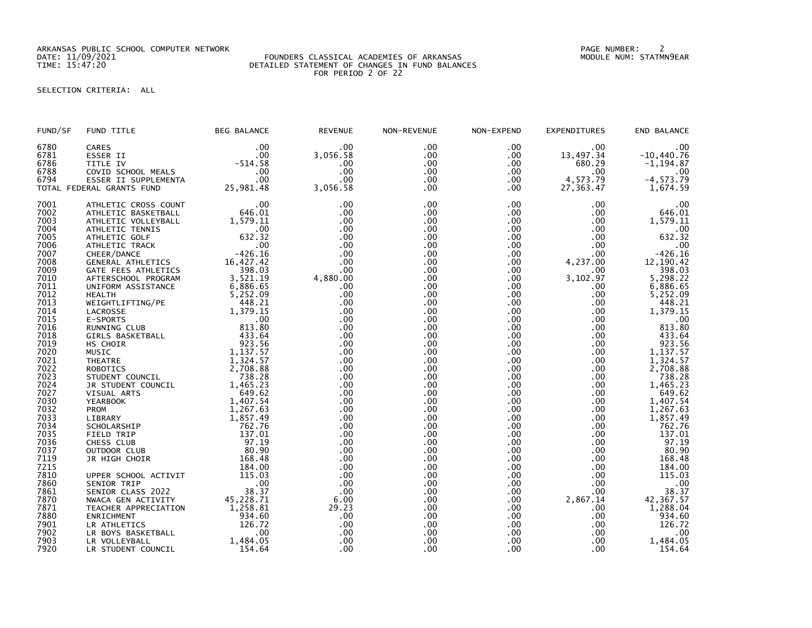ARKANSAS PUBLIC SCHOOL COMPUTER NETWORK PAGE NUMBER: 2

## DATE: 11/09/2021 FOUNDERS CLASSICAL ACADEMIES OF ARKANSAS MODULE NUM: STATMN9EAR TIME: 15:47:20 DETAILED STATEMENT OF CHANGES IN FUND BALANCES FOR PERIOD 2 OF 22

SELECTION CRITERIA: ALL

| FUND/SF | FUND TITLE                | <b>BEG BALANCE</b> | <b>REVENUE</b> | NON-REVENUE | NON-EXPEND | <b>EXPENDITURES</b> | END BALANCE      |
|---------|---------------------------|--------------------|----------------|-------------|------------|---------------------|------------------|
| 6780    | CARES                     | .00                | .00            | .00         | .00        | .00                 | .00              |
| 6781    | ESSER II                  | .00                | 3,056.58       | .00         | .00        | 13,497.34           | $-10,440.76$     |
| 6786    | TITLE IV                  | $-514.58$          | .00            | .00         | .00        | 680.29              | $-1, 194.87$     |
| 6788    | COVID SCHOOL MEALS        | .00                | .00            | .00         | .00.       | .00                 | .00              |
| 6794    | ESSER II SUPPLEMENTA      | .00                | .00            | .00         | .00        | 4,573.79            | $-4, 573.79$     |
|         | TOTAL FEDERAL GRANTS FUND | 25,981.48          | 3,056.58       | .00         | .00.       | 27,363.47           | 1,674.59         |
| 7001    | ATHLETIC CROSS COUNT      | .00                | .00            | .00         | .00        | .00                 | .00              |
| 7002    | ATHLETIC BASKETBALL       | 646.01             | .00            | .00         | .00        | .00                 | 646.01           |
| 7003    | ATHLETIC VOLLEYBALL       | 1,579.11           | .00            | .00         | .00        | .00                 | 1,579.11         |
| 7004    | ATHLETIC TENNIS           | .00                | .00            | .00         | .00        | .00                 | .00              |
| 7005    | ATHLETIC GOLF             | 632.32             | .00            | .00         | .00        | .00                 | 632.32           |
| 7006    | ATHLETIC TRACK            | .00                | .00            | .00         | .00        | .00                 | $.00$<br>-426.16 |
| 7007    | CHEER/DANCE               | $-426.16$          | .00            | .00         | .00        | .00                 |                  |
| 7008    | GENERAL ATHLETICS         | 16,427.42          | .00            | .00         | .00        | 4,237.00            | 12,190.42        |
| 7009    | GATE FEES ATHLETICS       | 398.03             | .00            | .00         | .00.       | .00                 | 398.03           |
| 7010    | AFTERSCHOOL PROGRAM       | 3,521.19           | 4,880.00       | .00         | .00        | 3,102.97            | 5,298.22         |
| 7011    | UNIFORM ASSISTANCE        | 6,886.65           | .00            | .00         | .00.       | .00                 | 6,886.65         |
| 7012    | <b>HEALTH</b>             | 5,252.09           | .00            | .00         | .00        | .00                 | 5,252.09         |
| 7013    | WEIGHTLIFTING/PE          | 448.21             | .00            | .00         | .00        | .00                 | 448.21           |
| 7014    | LACROSSE                  | 1,379.15           | .00            | .00         | .00        | .00                 | 1,379.15         |
| 7015    | E-SPORTS                  | .00                | .00            | .00         | .00        | .00                 | .00              |
| 7016    | RUNNING CLUB              | 813.80             | .00            | .00         | .00        | .00                 | 813.80           |
| 7018    | <b>GIRLS BASKETBALL</b>   | 433.64             | .00            | .00         | .00        | .00                 | 433.64           |
| 7019    | HS CHOIR                  | 923.56             | .00            | .00         | .00        | .00                 | 923.56           |
| 7020    | MUSIC                     | 1,137.57           | .00            | .00         | .00        | .00                 | 1,137.57         |
| 7021    | <b>THEATRE</b>            | 1,324.57           | .00            | .00         | .00        | .00                 | 1,324.57         |
| 7022    | ROBOTICS                  | 2,708.88           | .00            | .00         | .00        | .00                 | 2,708.88         |
| 7023    | STUDENT COUNCIL           | 738.28             | .00            | .00         | .00        | .00                 | 738.28           |
| 7024    | JR STUDENT COUNCIL        | 1,465.23           | .00            | .00         | .00.       | .00                 | 1,465.23         |
| 7027    | VISUAL ARTS               | 649.62             | .00            | .00         | .00        | .00                 | 649.62           |
| 7030    | <b>YEARBOOK</b>           | 1,407.54           | .00            | .00         | .00        | .00                 | 1,407.54         |
| 7032    | PROM                      | 1,267.63           | .00            | .00         | .00        | .00                 | 1,267.63         |
| 7033    | LIBRARY                   | 1,857.49           | .00            | .00         | .00        | .00                 | 1,857.49         |
| 7034    | SCHOLARSHIP               | 762.76             | .00            | .00         | .00        | .00                 | 762.76           |
| 7035    | FIELD TRIP                | 137.01             | .00            | .00         | .00.       | .00                 | 137.01           |
| 7036    | CHESS CLUB                | 97.19              | .00            | .00         | .00        | .00                 | 97.19            |
| 7037    | OUTDOOR CLUB              | 80.90              | .00            | .00         | .00        | .00                 | 80.90            |
| 7119    | JR HIGH CHOIR             | 168.48             | .00            | .00         | .00        | .00                 | 168.48           |
| 7215    |                           | 184.00             | .00            | .00         | .00        | .00                 | 184.00           |
| 7810    | UPPER SCHOOL ACTIVIT      | 115.03             | .00            | .00         | .00        | .00                 | 115.03           |
| 7860    | SENIOR TRIP               | .00                | .00            | .00.        | .00        | .00                 |                  |
| 7861    | SENIOR CLASS 2022         | 38.37              | .00            | .00         | .00.       | .00                 | $.00$<br>38.37   |
| 7870    | NWACA GEN ACTIVITY        | 45,228.71          | 6.00           | .00         | .00        | 2,867.14            | 42,367.57        |
| 7871    | TEACHER APPRECIATION      | 1,258.81           | 29.23          | .00         | .00.       | .00                 | 1,288.04         |
| 7880    | ENRICHMENT                | 934.60             | .00            | .00         | .00.       | .00                 | 934.60           |
| 7901    | LR ATHLETICS              | 126.72             | .00            | .00         | .00.       | .00                 | 126.72           |
| 7902    | LR BOYS BASKETBALL        | .00                | .00            | .00         | .00        | .00                 | .00              |
| 7903    | LR VOLLEYBALL             | 1,484.05           | .00            | .00         | .00        | .00                 | 1,484.05         |
| 7920    | LR STUDENT COUNCIL        | 154.64             | .00            | .00         | .00        | .00                 | 154.64           |